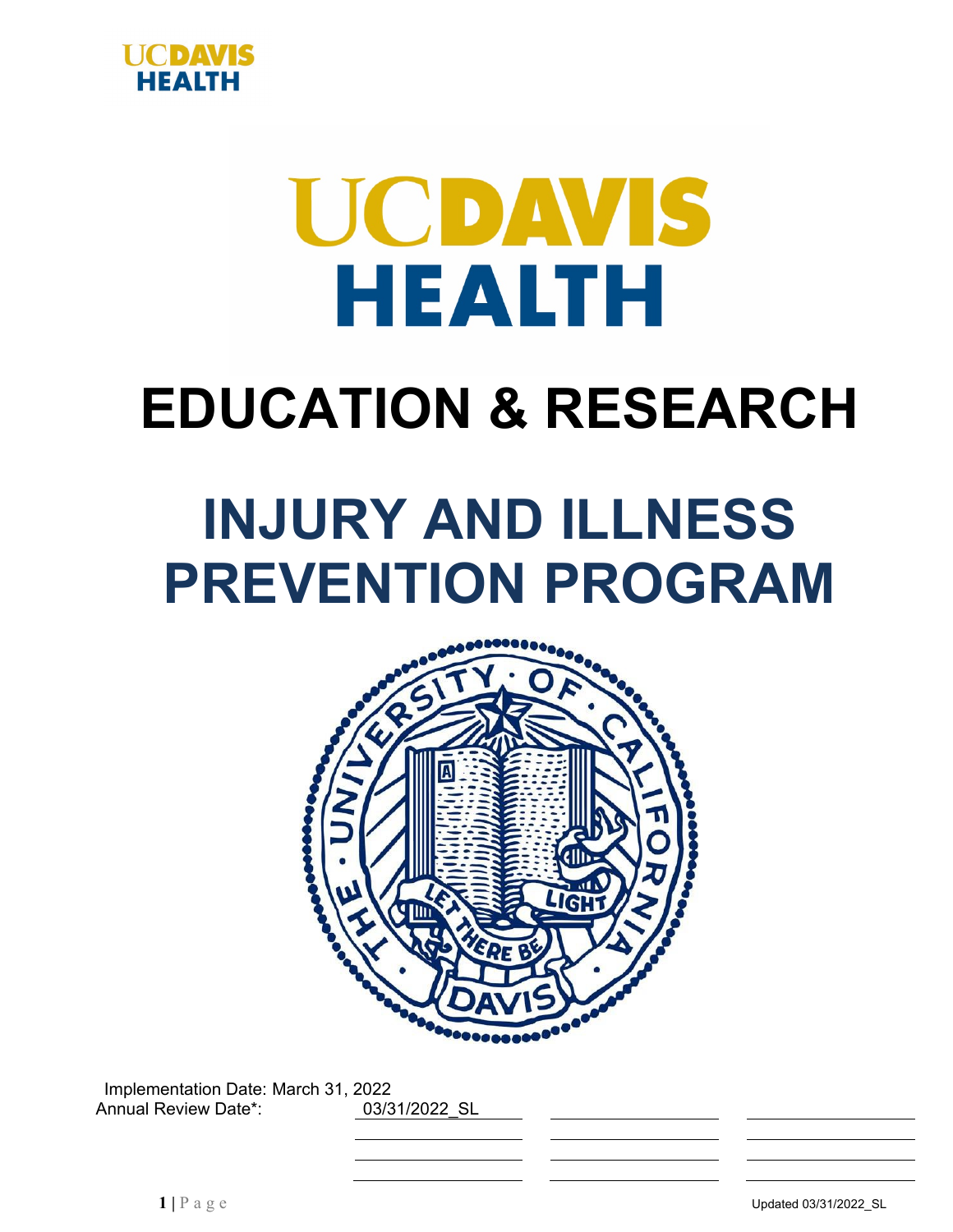

# UCDAVIS HEALTH

# **EDUCATION & RESEARCH**

# **INJURY AND ILLNESS PREVENTION PROGRAM**



Implementation Date: March 31, 2022 Annual Review Date\*: 03/31/2022 SL

**1** | **P** a g e **Updated 03/31/2022\_SL**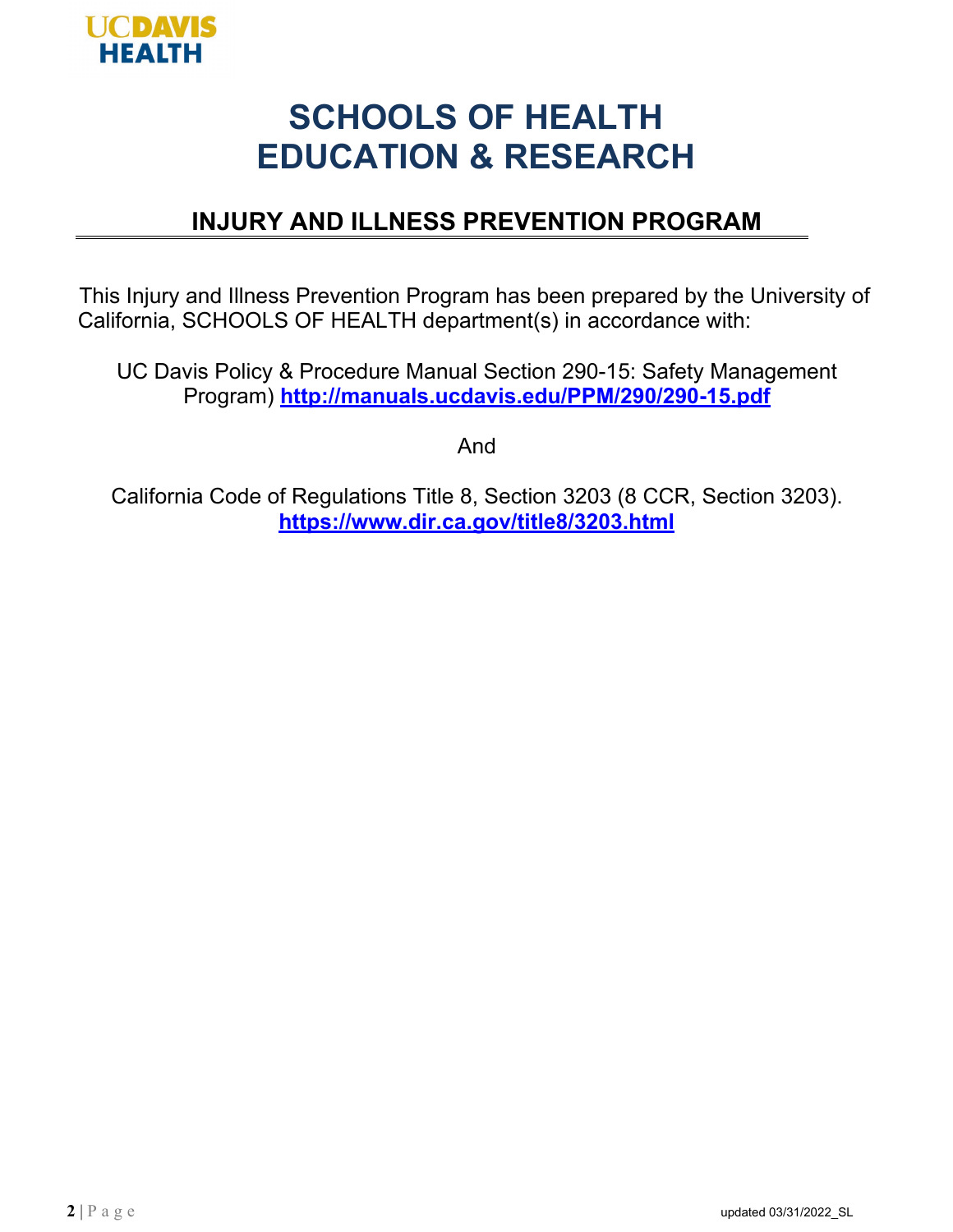

# **SCHOOLS OF HEALTH EDUCATION & RESEARCH**

# **INJURY AND ILLNESS PREVENTION PROGRAM**

This Injury and Illness Prevention Program has been prepared by the University of California, SCHOOLS OF HEALTH department(s) in accordance with:

UC Davis Policy & Procedure Manual Section 290-15: Safety Management Program) **<http://manuals.ucdavis.edu/PPM/290/290-15.pdf>**

And

California Code of Regulations Title 8, Section 3203 (8 CCR, Section 3203). **https:/[/www.dir.ca.gov/title8/3203.html](http://www.dir.ca.gov/title8/3203.html)**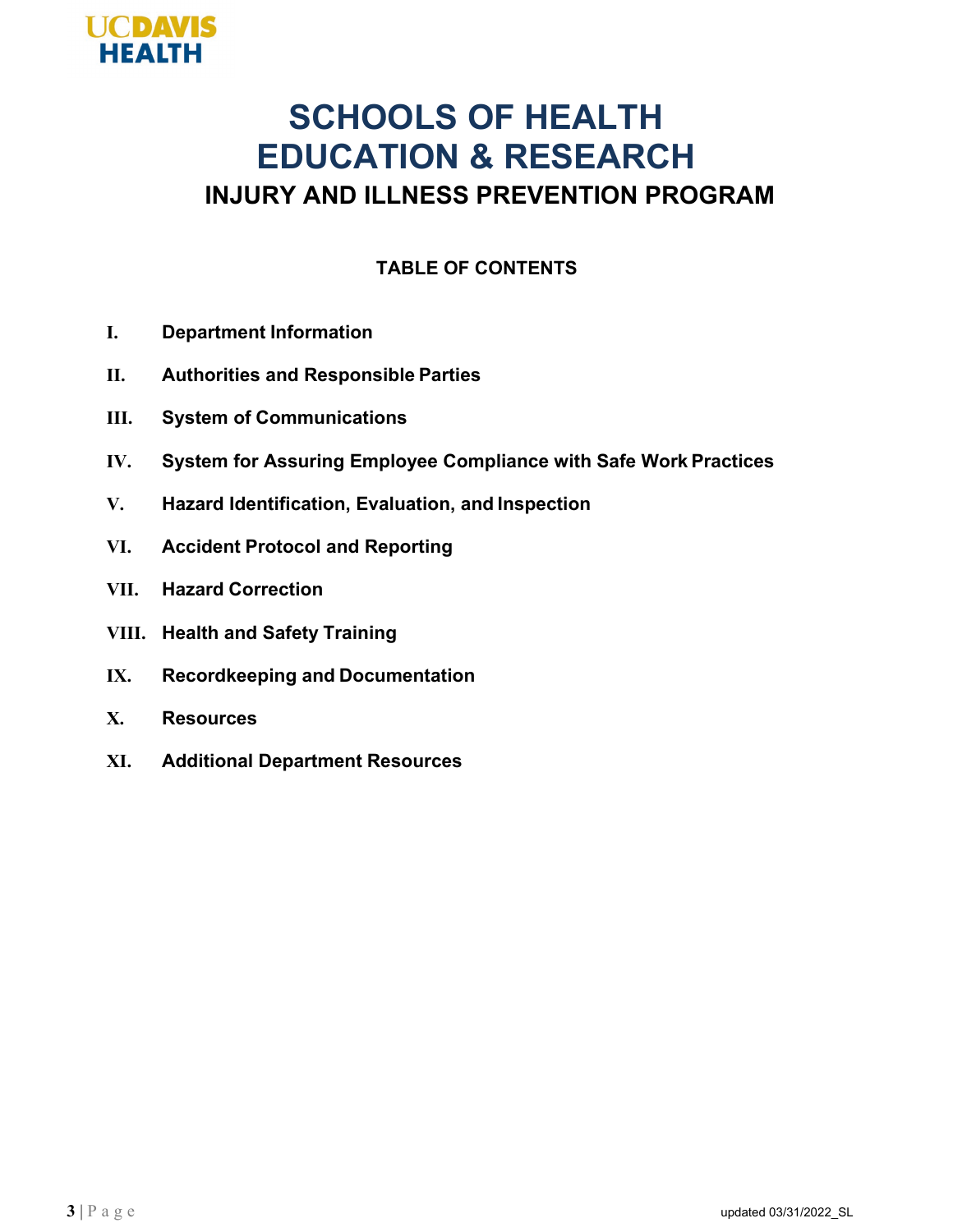

# **SCHOOLS OF HEALTH EDUCATION & RESEARCH INJURY AND ILLNESS PREVENTION PROGRAM**

#### **TABLE OF CONTENTS**

- **I. Department Information**
- **II. Authorities and Responsible Parties**
- **III. System of Communications**
- **IV. System for Assuring Employee Compliance with Safe Work Practices**
- **V. Hazard Identification, Evaluation, and Inspection**
- **VI. Accident Protocol and Reporting**
- **VII. Hazard Correction**
- **VIII. Health and Safety Training**
- **IX. Recordkeeping and Documentation**
- **X. Resources**
- **XI. Additional Department Resources**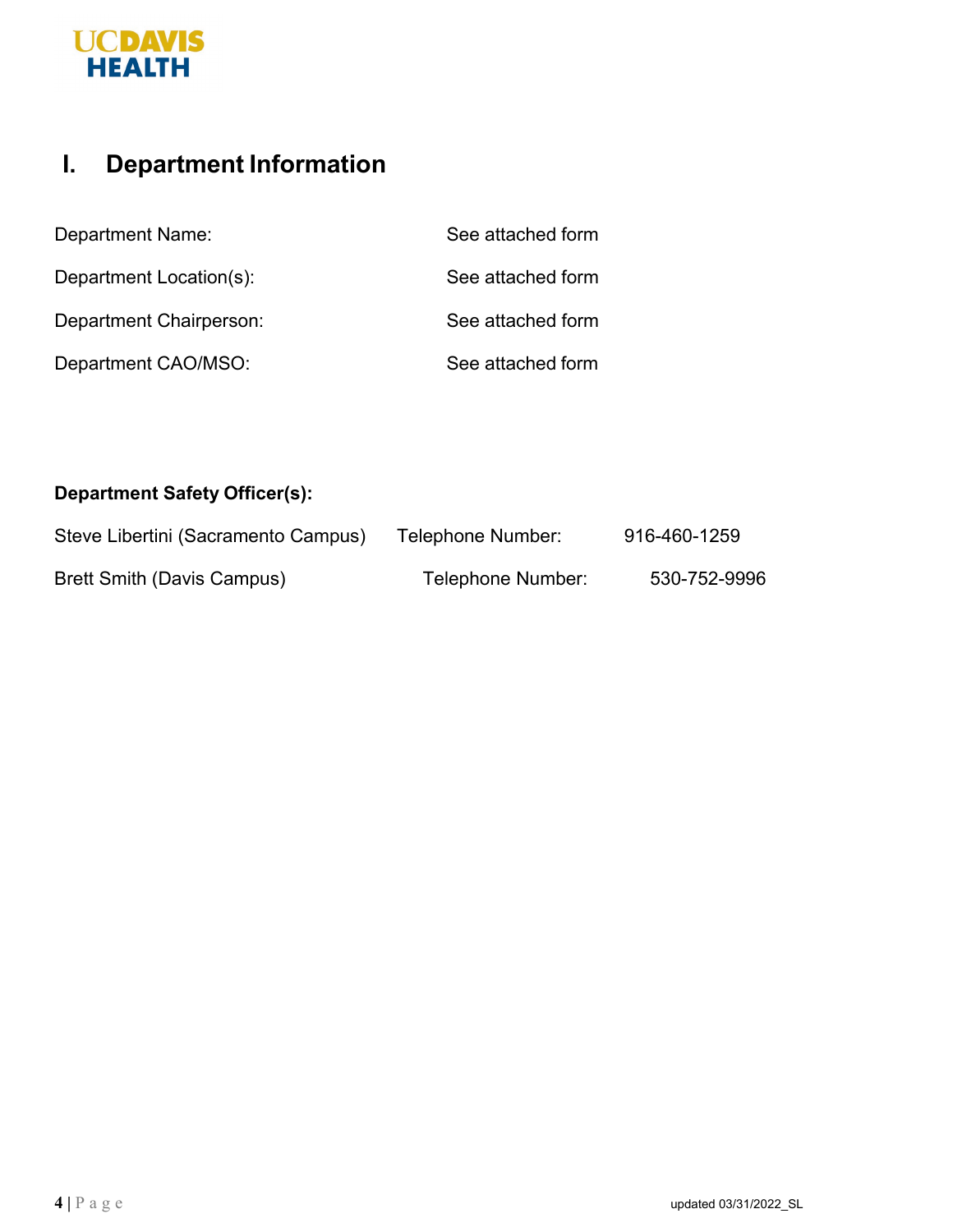# **UCDAVIS**<br>HEALTH

# **I. Department Information**

| <b>Department Name:</b> | See attached form |
|-------------------------|-------------------|
| Department Location(s): | See attached form |
| Department Chairperson: | See attached form |
| Department CAO/MSO:     | See attached form |

#### **Department Safety Officer(s):**

| Steve Libertini (Sacramento Campus) | Telephone Number: | 916-460-1259 |
|-------------------------------------|-------------------|--------------|
| Brett Smith (Davis Campus)          | Telephone Number: | 530-752-9996 |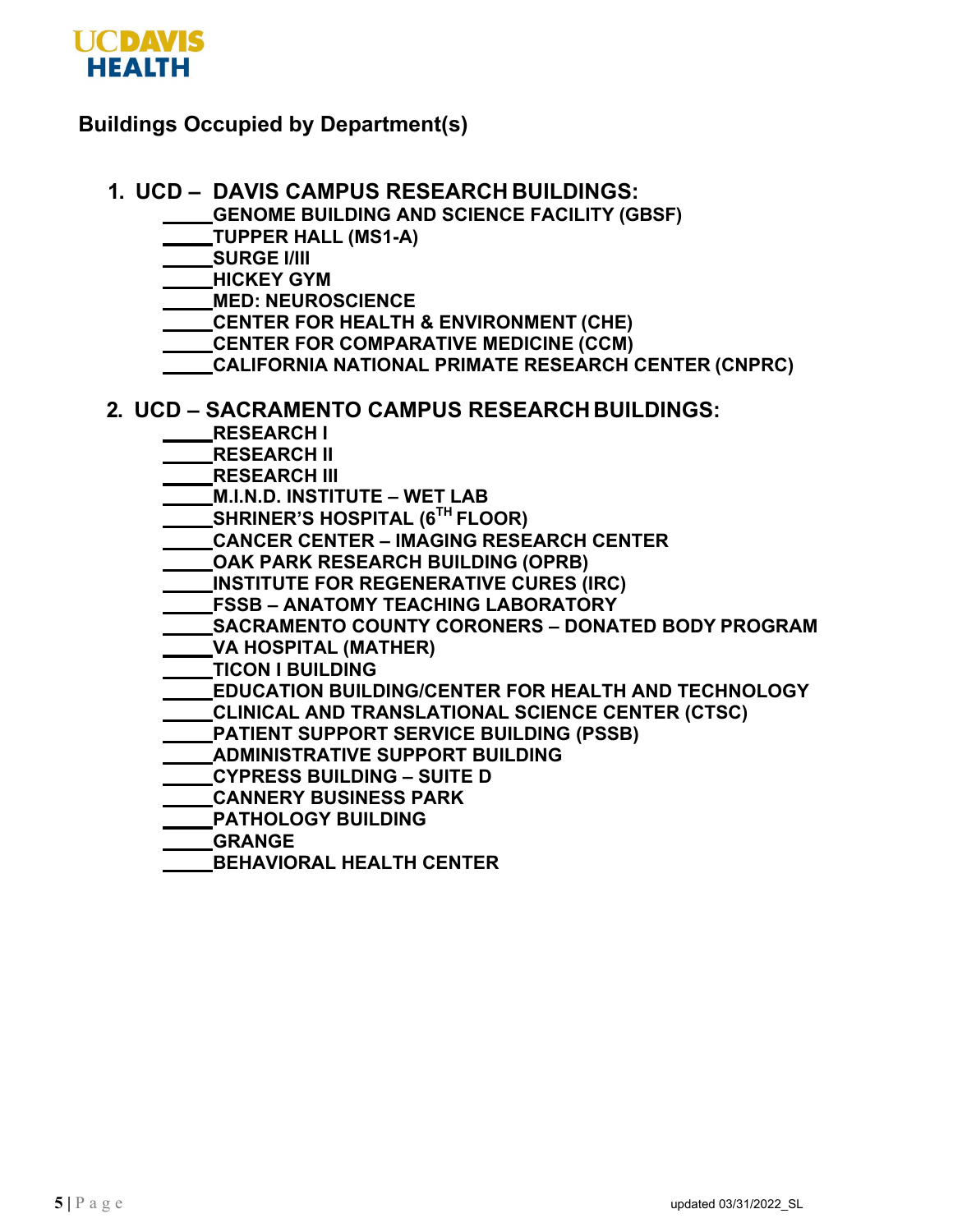

#### **Buildings Occupied by Department(s)**

#### **1. UCD – DAVIS CAMPUS RESEARCH BUILDINGS:**

- **GENOME BUILDING AND SCIENCE FACILITY (GBSF)**
- **TUPPER HALL (MS1-A)**
- **SURGE I/III**
- **HICKEY GYM**
- **MED: NEUROSCIENCE**
- **CENTER FOR HEALTH & ENVIRONMENT (CHE)**
- **CENTER FOR COMPARATIVE MEDICINE (CCM)**
- **CALIFORNIA NATIONAL PRIMATE RESEARCH CENTER (CNPRC)**

#### **2. UCD – SACRAMENTO CAMPUS RESEARCH BUILDINGS:**

- **RESEARCH I**
- **RESEARCH II**
- **RESEARCH III**
- **M.I.N.D. INSTITUTE WET LAB**
- **SHRINER'S HOSPITAL (6TH FLOOR)**
- **CANCER CENTER IMAGING RESEARCH CENTER**
- **OAK PARK RESEARCH BUILDING (OPRB)**
- **INSTITUTE FOR REGENERATIVE CURES (IRC)**
- **FSSB ANATOMY TEACHING LABORATORY**
- **SACRAMENTO COUNTY CORONERS DONATED BODY PROGRAM**
- **VA HOSPITAL (MATHER)**
- **TICON I BUILDING**
- **EDUCATION BUILDING/CENTER FOR HEALTH AND TECHNOLOGY**
- **CLINICAL AND TRANSLATIONAL SCIENCE CENTER (CTSC)**
- **PATIENT SUPPORT SERVICE BUILDING (PSSB)**
- **ADMINISTRATIVE SUPPORT BUILDING**
- **CYPRESS BUILDING SUITE D**
- **CANNERY BUSINESS PARK**
- **PATHOLOGY BUILDING**
- **GRANGE**
- **BEHAVIORAL HEALTH CENTER**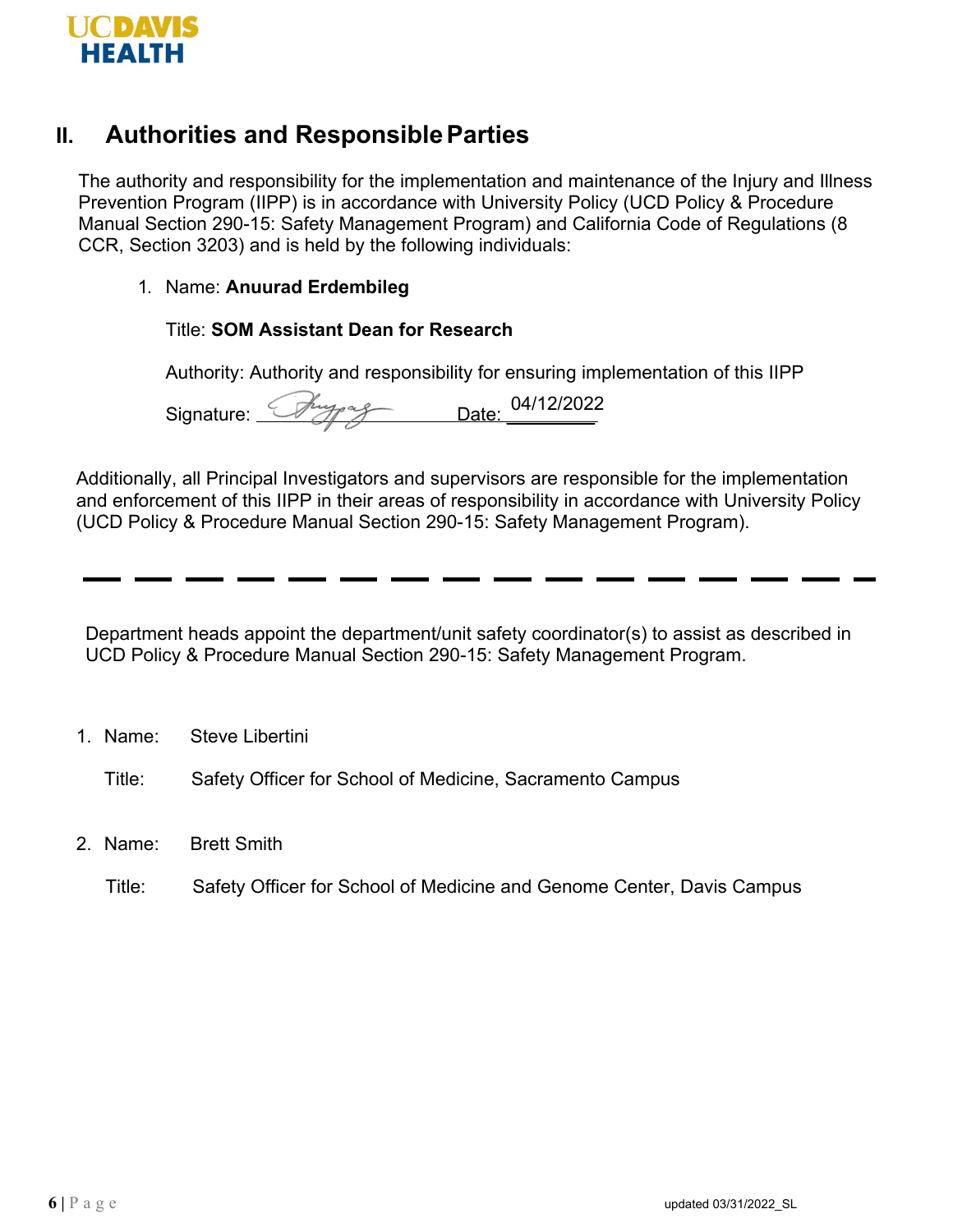

## **II. Authorities and ResponsibleParties**

The authority and responsibility for the implementation and maintenance of the Injury and Illness Prevention Program (IIPP) is in accordance with University Policy (UCD Policy & Procedure Manual Section 290-15: Safety Management Program) and California Code of Regulations (8 CCR, Section 3203) and is held by the following individuals:

#### 1. Name: **Anuurad Erdembileg**

#### Title: **SOM Assistant Dean for Research**

Authority: Authority and responsibility for ensuring implementation of this IIPP

Signature: Chypag Date: 04/12/2022

Additionally, all Principal Investigators and supervisors are responsible for the implementation and enforcement of this IIPP in their areas of responsibility in accordance with University Policy (UCD Policy & Procedure Manual Section 290-15: Safety Management Program).

Department heads appoint the department/unit safety coordinator(s) to assist as described in UCD Policy & Procedure Manual Section 290-15: Safety Management Program.

- 1. Name: Steve Libertini
	- Title: Safety Officer for School of Medicine, Sacramento Campus
- 2. Name: Brett Smith
	- Title: Safety Officer for School of Medicine and Genome Center, Davis Campus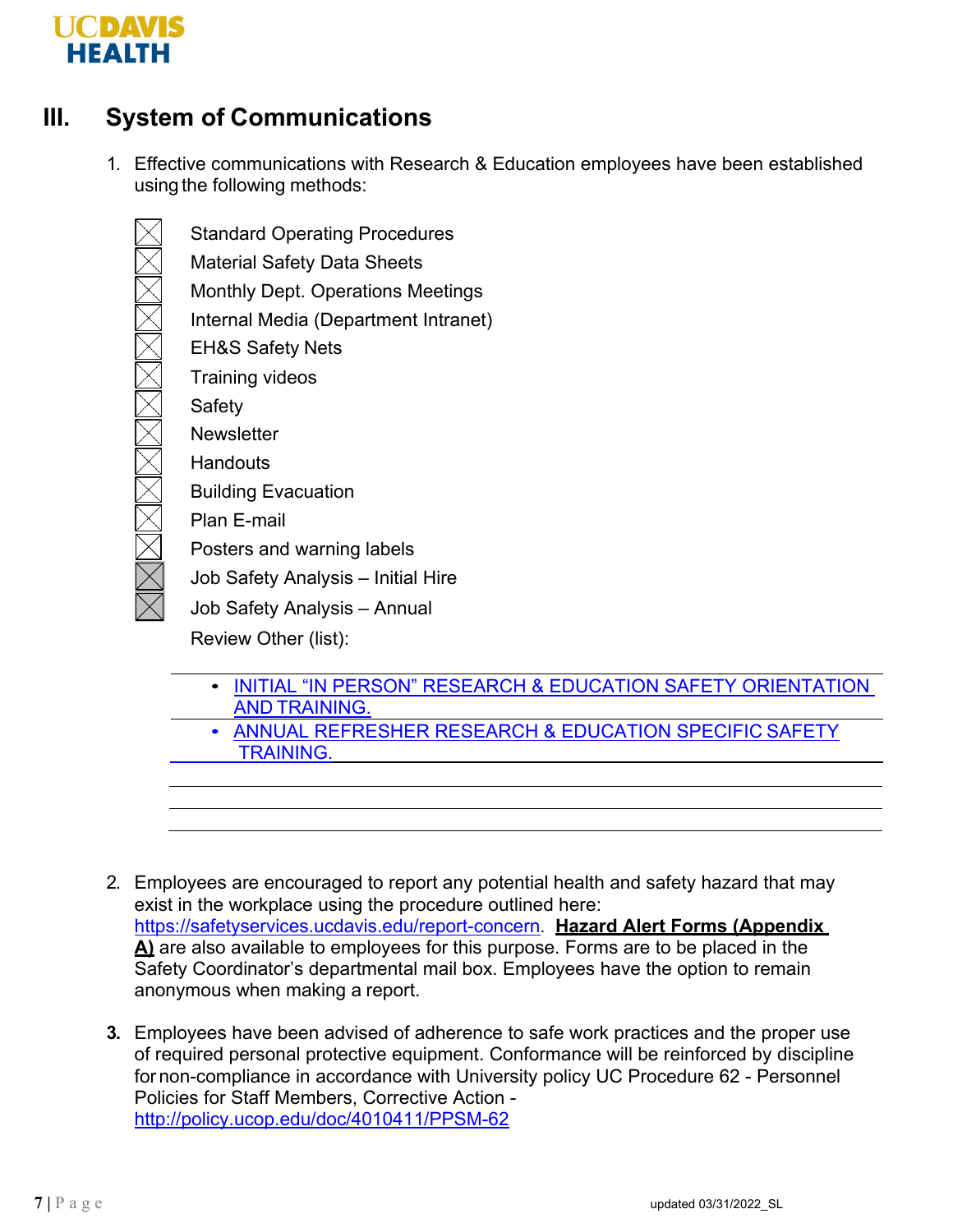

# **III. System of Communications**

1. Effective communications with Research & Education employees have been established using the following methods:

Standard Operating Procedures Material Safety Data Sheets Monthly Dept. Operations Meetings Internal Media (Department Intranet) EH&S Safety Nets Training videos Safety **Newsletter Handouts** Building Evacuation Plan E-mail Posters and warning labels Job Safety Analysis – Initial Hire Job Safety Analysis – Annual

Review Other (list):

- [INITIAL "IN PERSON" RESEARCH & EDUCATION SAFETY](https://ucdavis.app.box.com/s/x0q2bwycvtp8tyt79x4yj8ozylit6opn) ORIENTATION AND [TRAINING.](https://ucdavis.app.box.com/s/x0q2bwycvtp8tyt79x4yj8ozylit6opn)
- [ANNUAL REFRESHER RESEARCH & EDUCATION SPECIFIC](https://health.ucdavis.edu/medresearch/safety/Documents/7.2_Annual_Safety_Training_Summary.pdf) SAFETY  [TRAINING.](https://health.ucdavis.edu/medresearch/safety/Documents/7.2_Annual_Safety_Training_Summary.pdf)
- 2. Employees are encouraged to report any potential health and safety hazard that may exist in the workplace using the procedure outlined here: [https://safetyservices.ucdavis.edu/report-concern.](https://safetyservices.ucdavis.edu/report-concern) **Hazard Alert Forms (Appendix A)** are also available to employees for this purpose. Forms are to be placed in the Safety Coordinator's departmental mail box. Employees have the option to remain anonymous when making a report.
- **3.** Employees have been advised of adherence to safe work practices and the proper use of required personal protective equipment. Conformance will be reinforced by discipline for non-compliance in accordance with University policy UC Procedure 62 - Personnel Policies for Staff Members, Corrective Action <http://policy.ucop.edu/doc/4010411/PPSM-62>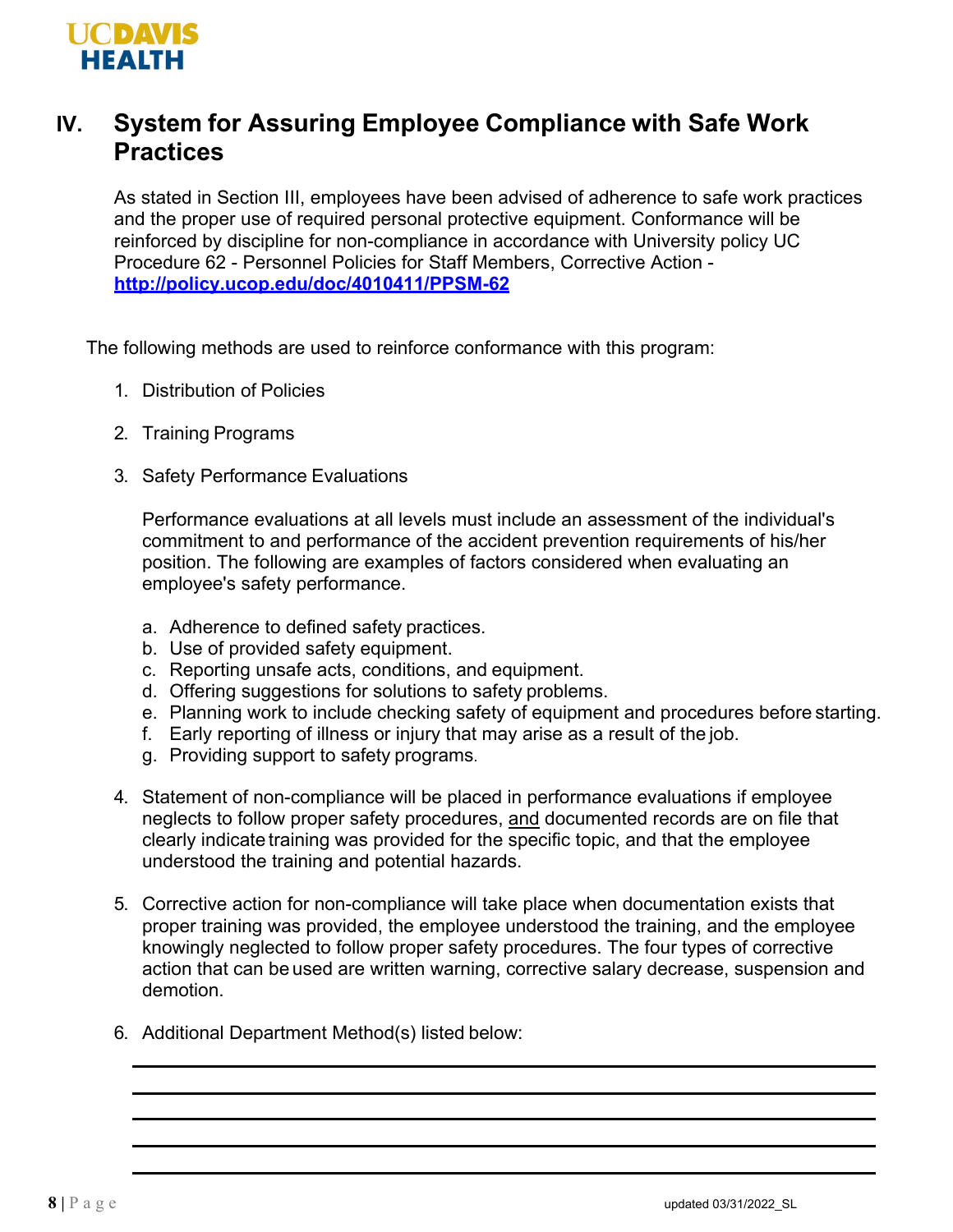

# **IV. System for Assuring Employee Compliance with Safe Work Practices**

As stated in Section III, employees have been advised of adherence to safe work practices and the proper use of required personal protective equipment. Conformance will be reinforced by discipline for non-compliance in accordance with University policy UC Procedure 62 - Personnel Policies for Staff Members, Corrective Action **<http://policy.ucop.edu/doc/4010411/PPSM-62>**

The following methods are used to reinforce conformance with this program:

- 1. Distribution of Policies
- 2. Training Programs
- 3. Safety Performance Evaluations

Performance evaluations at all levels must include an assessment of the individual's commitment to and performance of the accident prevention requirements of his/her position. The following are examples of factors considered when evaluating an employee's safety performance.

- a. Adherence to defined safety practices.
- b. Use of provided safety equipment.
- c. Reporting unsafe acts, conditions, and equipment.
- d. Offering suggestions for solutions to safety problems.
- e. Planning work to include checking safety of equipment and procedures before starting.
- f. Early reporting of illness or injury that may arise as a result of the job.
- g. Providing support to safety programs.
- 4. Statement of non-compliance will be placed in performance evaluations if employee neglects to follow proper safety procedures, and documented records are on file that clearly indicate training was provided for the specific topic, and that the employee understood the training and potential hazards.
- 5. Corrective action for non-compliance will take place when documentation exists that proper training was provided, the employee understood the training, and the employee knowingly neglected to follow proper safety procedures. The four types of corrective action that can be used are written warning, corrective salary decrease, suspension and demotion.
- 6. Additional Department Method(s) listed below: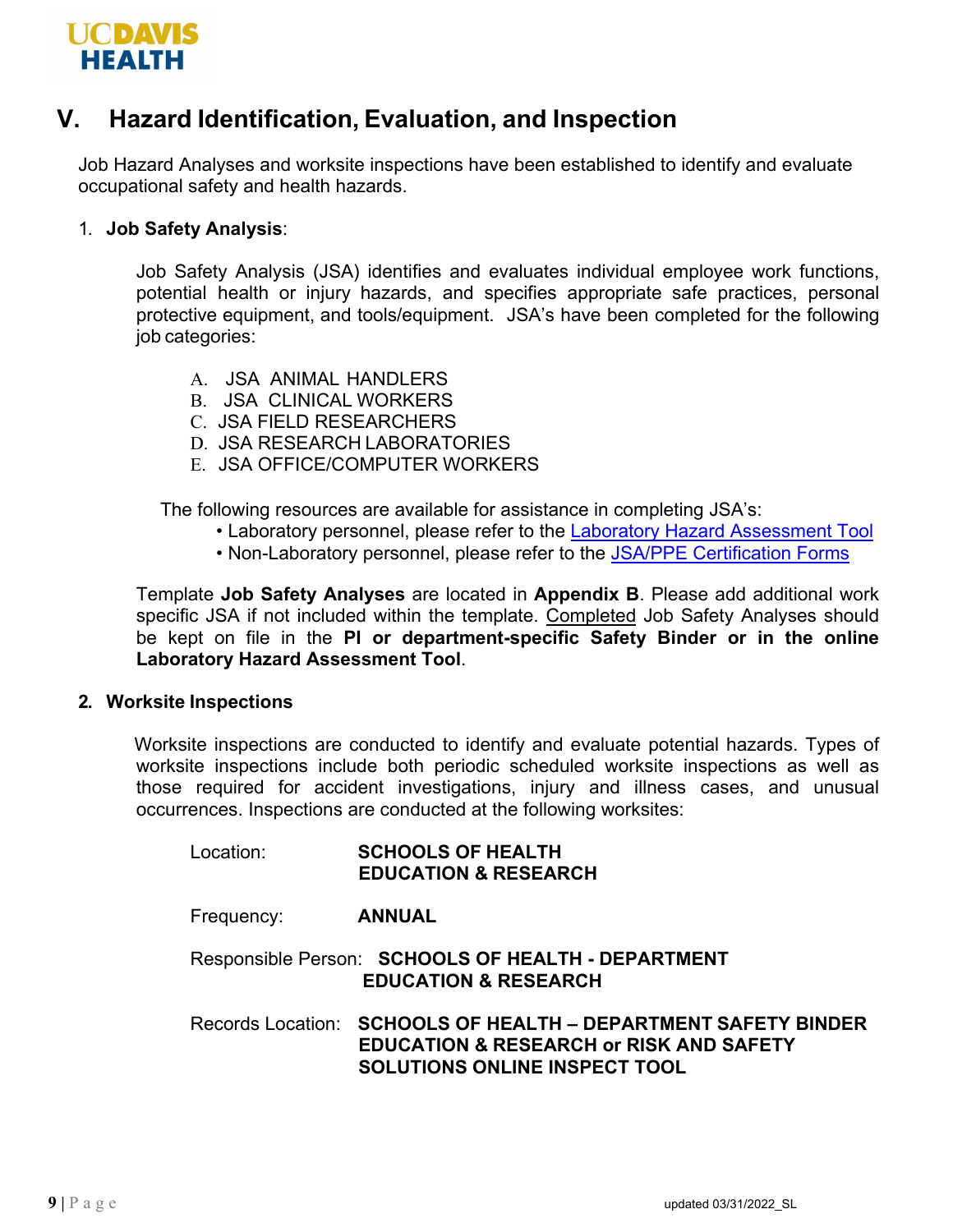

## **V. Hazard Identification, Evaluation, and Inspection**

Job Hazard Analyses and worksite inspections have been established to identify and evaluate occupational safety and health hazards.

#### 1. **Job Safety Analysis**:

Job Safety Analysis (JSA) identifies and evaluates individual employee work functions, potential health or injury hazards, and specifies appropriate safe practices, personal protective equipment, and tools/equipment. JSA's have been completed for the following job categories:

- A. JSA ANIMAL HANDLERS
- B. JSA CLINICAL WORKERS
- C. JSA FIELD RESEARCHERS
- D. JSA RESEARCH LABORATORIES
- E. JSA OFFICE/COMPUTER WORKERS

The following resources are available for assistance in completing JSA's:

- Laboratory personnel, please refer to the [Laboratory Hazard Assessment Tool](https://safetyservices.ucdavis.edu/article/hazard-assessment-tool)
- Non-Laboratory personnel, please refer to the [JSA/PPE Certification Forms](https://safetyservices.ucdavis.edu/article/injury-illness-prevention-program-iipp#NonLabJSA)

Template **Job Safety Analyses** are located in **Appendix B**. Please add additional work specific JSA if not included within the template. Completed Job Safety Analyses should be kept on file in the **PI or department-specific Safety Binder or in the online Laboratory Hazard Assessment Tool**.

#### **2. Worksite Inspections**

Worksite inspections are conducted to identify and evaluate potential hazards. Types of worksite inspections include both periodic scheduled worksite inspections as well as those required for accident investigations, injury and illness cases, and unusual occurrences. Inspections are conducted at the following worksites:

| Location:  | <b>SCHOOLS OF HEALTH</b><br><b>EDUCATION &amp; RESEARCH</b>                                                                                                  |
|------------|--------------------------------------------------------------------------------------------------------------------------------------------------------------|
| Frequency: | <b>ANNUAL</b>                                                                                                                                                |
|            | Responsible Person: SCHOOLS OF HEALTH - DEPARTMENT<br><b>EDUCATION &amp; RESEARCH</b>                                                                        |
|            | Records Location: SCHOOLS OF HEALTH - DEPARTMENT SAFETY BINDER<br><b>EDUCATION &amp; RESEARCH or RISK AND SAFETY</b><br><b>SOLUTIONS ONLINE INSPECT TOOL</b> |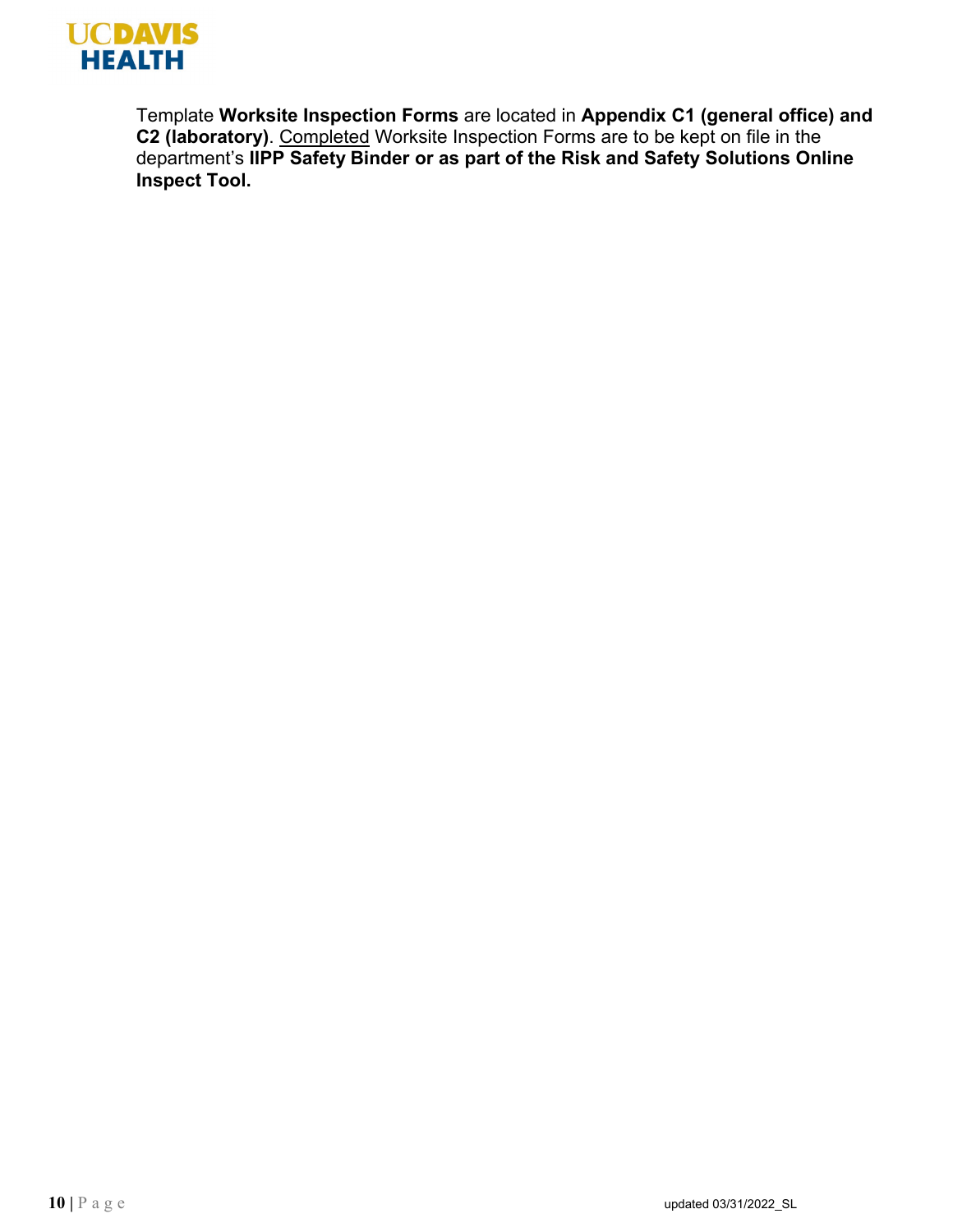

Template **Worksite Inspection Forms** are located in **Appendix C1 (general office) and C2 (laboratory)**. Completed Worksite Inspection Forms are to be kept on file in the department's **IIPP Safety Binder or as part of the Risk and Safety Solutions Online Inspect Tool.**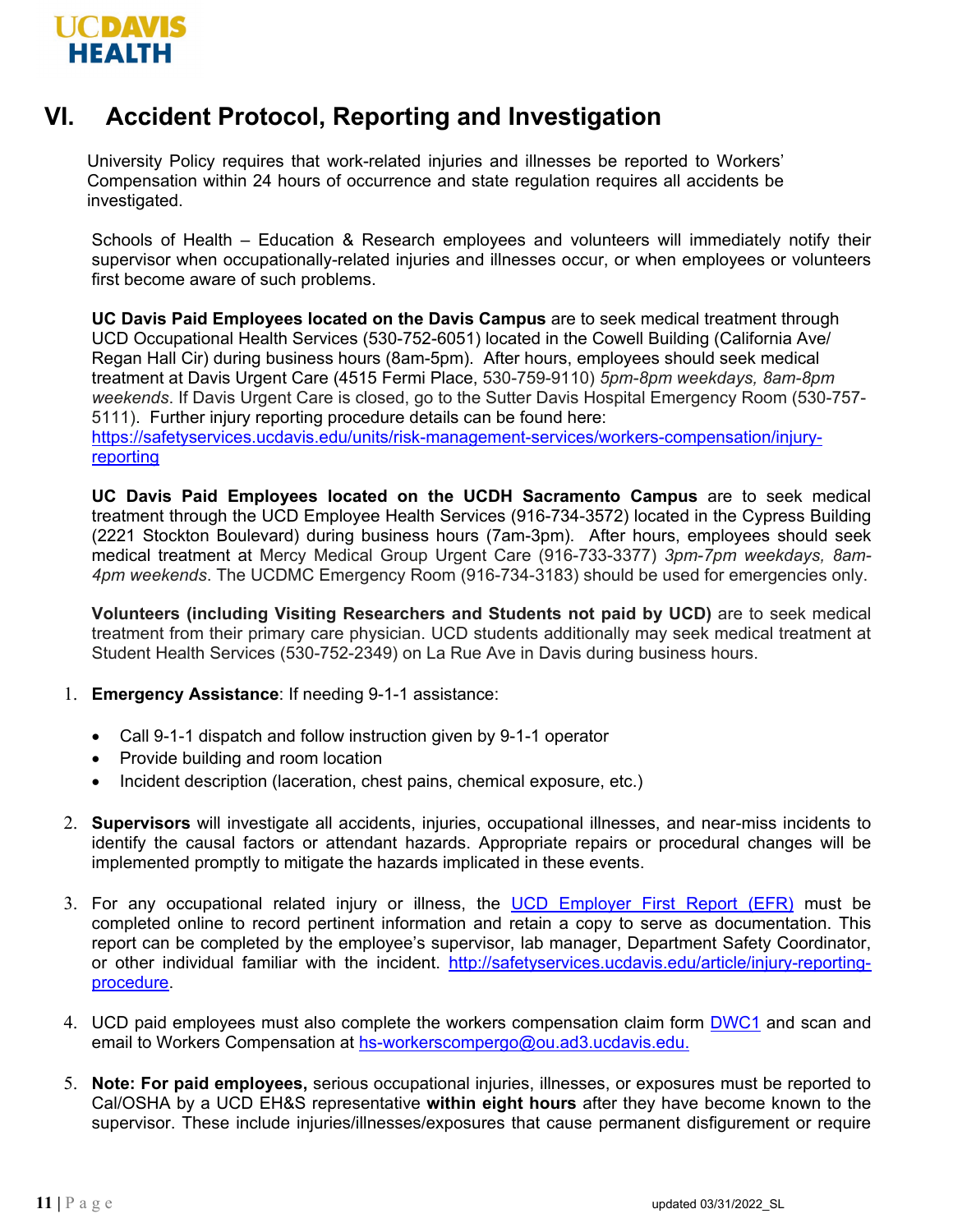

# **VI. Accident Protocol, Reporting and Investigation**

University Policy requires that work-related injuries and illnesses be reported to Workers' Compensation within 24 hours of occurrence and state regulation requires all accidents be investigated.

Schools of Health – Education & Research employees and volunteers will immediately notify their supervisor when occupationally-related injuries and illnesses occur, or when employees or volunteers first become aware of such problems.

**UC Davis Paid Employees located on the Davis Campus** are to seek medical treatment through UCD Occupational Health Services (530-752-6051) located in the Cowell Building (California Ave/ Regan Hall Cir) during business hours (8am-5pm). After hours, employees should seek medical treatment at Davis Urgent Care (4515 Fermi Place, 530-759-9110) *5pm-8pm weekdays, 8am-8pm weekends*. If Davis Urgent Care is closed, go to the Sutter Davis Hospital Emergency Room (530-757- 5111). Further injury reporting procedure details can be found here:

[https://safetyservices.ucdavis.edu/units/risk-management-services/workers-compensation/injury](https://safetyservices.ucdavis.edu/units/risk-management-services/workers-compensation/injury-reporting)[reporting](https://safetyservices.ucdavis.edu/units/risk-management-services/workers-compensation/injury-reporting)

**UC Davis Paid Employees located on the UCDH Sacramento Campus** are to seek medical treatment through the UCD Employee Health Services (916-734-3572) located in the Cypress Building (2221 Stockton Boulevard) during business hours (7am-3pm). After hours, employees should seek medical treatment at Mercy Medical Group Urgent Care (916-733-3377) *3pm-7pm weekdays, 8am-4pm weekends*. The UCDMC Emergency Room (916-734-3183) should be used for emergencies only.

**Volunteers (including Visiting Researchers and Students not paid by UCD)** are to seek medical treatment from their primary care physician. UCD students additionally may seek medical treatment at Student Health Services (530-752-2349) on La Rue Ave in Davis during business hours.

- 1. **Emergency Assistance**: If needing 9-1-1 assistance:
	- Call 9-1-1 dispatch and follow instruction given by 9-1-1 operator
	- Provide building and room location
	- Incident description (laceration, chest pains, chemical exposure, etc.)
- 2. **Supervisors** will investigate all accidents, injuries, occupational illnesses, and near-miss incidents to identify the causal factors or attendant hazards. Appropriate repairs or procedural changes will be implemented promptly to mitigate the hazards implicated in these events.
- 3. For any occupational related injury or illness, the [UCD Employer First Report \(EFR\)](https://ehs.ucop.edu/efr/home) must be completed online to record pertinent information and retain a copy to serve as documentation. This report can be completed by the employee's supervisor, lab manager, Department Safety Coordinator, or other individual familiar with the incident. [http://safetyservices.ucdavis.edu/article/injury-reporting](http://safetyservices.ucdavis.edu/article/injury-reporting-procedure)[procedure.](http://safetyservices.ucdavis.edu/article/injury-reporting-procedure)
- 4. UCD paid employees must also complete the workers compensation claim form [DWC1](https://ucdavis.app.box.com/s/ngsmmxl7tso6e1d8ijb6jhiugt288w5b) and scan and email to Workers Compensation at [hs-workerscompergo@ou.ad3.ucdavis.edu.](mailto:hs-workerscompergo@ou.ad3.ucdavis.edu)
- 5. **Note: For paid employees,** serious occupational injuries, illnesses, or exposures must be reported to Cal/OSHA by a UCD EH&S representative **within eight hours** after they have become known to the supervisor. These include injuries/illnesses/exposures that cause permanent disfigurement or require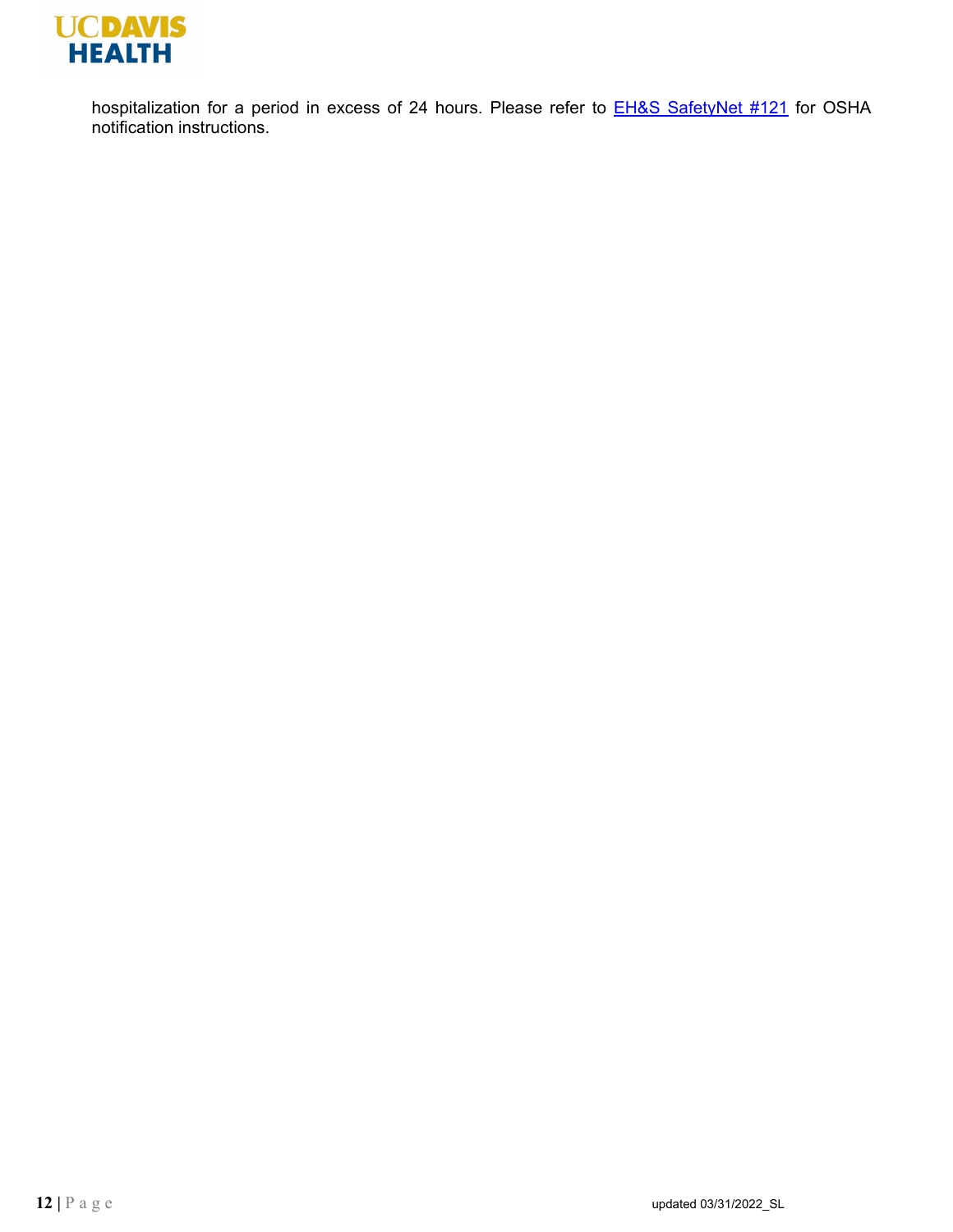

hospitalization for a period in excess of 24 hours. Please refer to **EH&S SafetyNet #121** for OSHA notification instructions.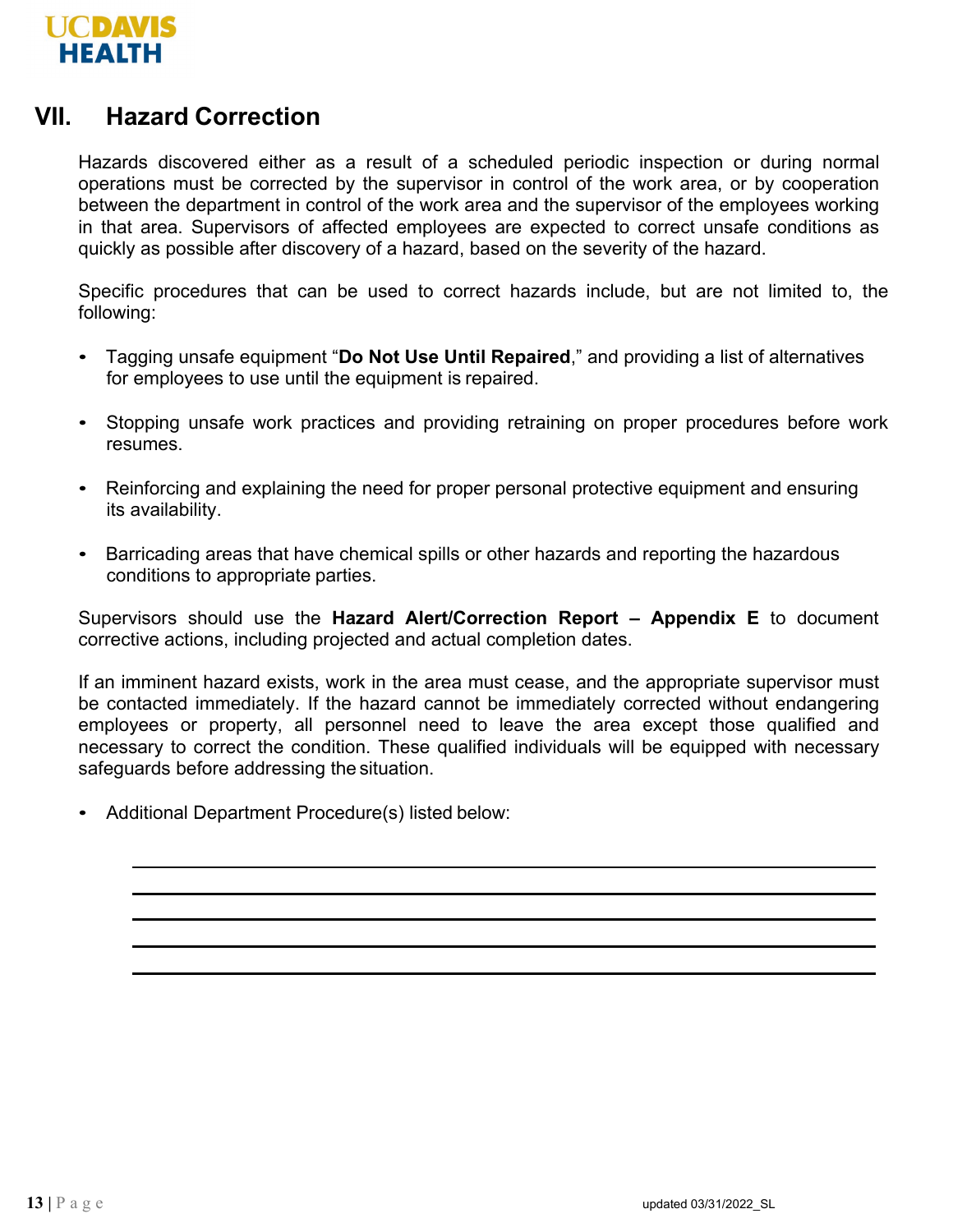

### **VII. Hazard Correction**

Hazards discovered either as a result of a scheduled periodic inspection or during normal operations must be corrected by the supervisor in control of the work area, or by cooperation between the department in control of the work area and the supervisor of the employees working in that area. Supervisors of affected employees are expected to correct unsafe conditions as quickly as possible after discovery of a hazard, based on the severity of the hazard.

Specific procedures that can be used to correct hazards include, but are not limited to, the following:

- Tagging unsafe equipment "**Do Not Use Until Repaired**," and providing a list of alternatives for employees to use until the equipment is repaired.
- Stopping unsafe work practices and providing retraining on proper procedures before work resumes.
- Reinforcing and explaining the need for proper personal protective equipment and ensuring its availability.
- Barricading areas that have chemical spills or other hazards and reporting the hazardous conditions to appropriate parties.

Supervisors should use the **Hazard Alert/Correction Report – Appendix E** to document corrective actions, including projected and actual completion dates.

If an imminent hazard exists, work in the area must cease, and the appropriate supervisor must be contacted immediately. If the hazard cannot be immediately corrected without endangering employees or property, all personnel need to leave the area except those qualified and necessary to correct the condition. These qualified individuals will be equipped with necessary safeguards before addressing the situation.

• Additional Department Procedure(s) listed below: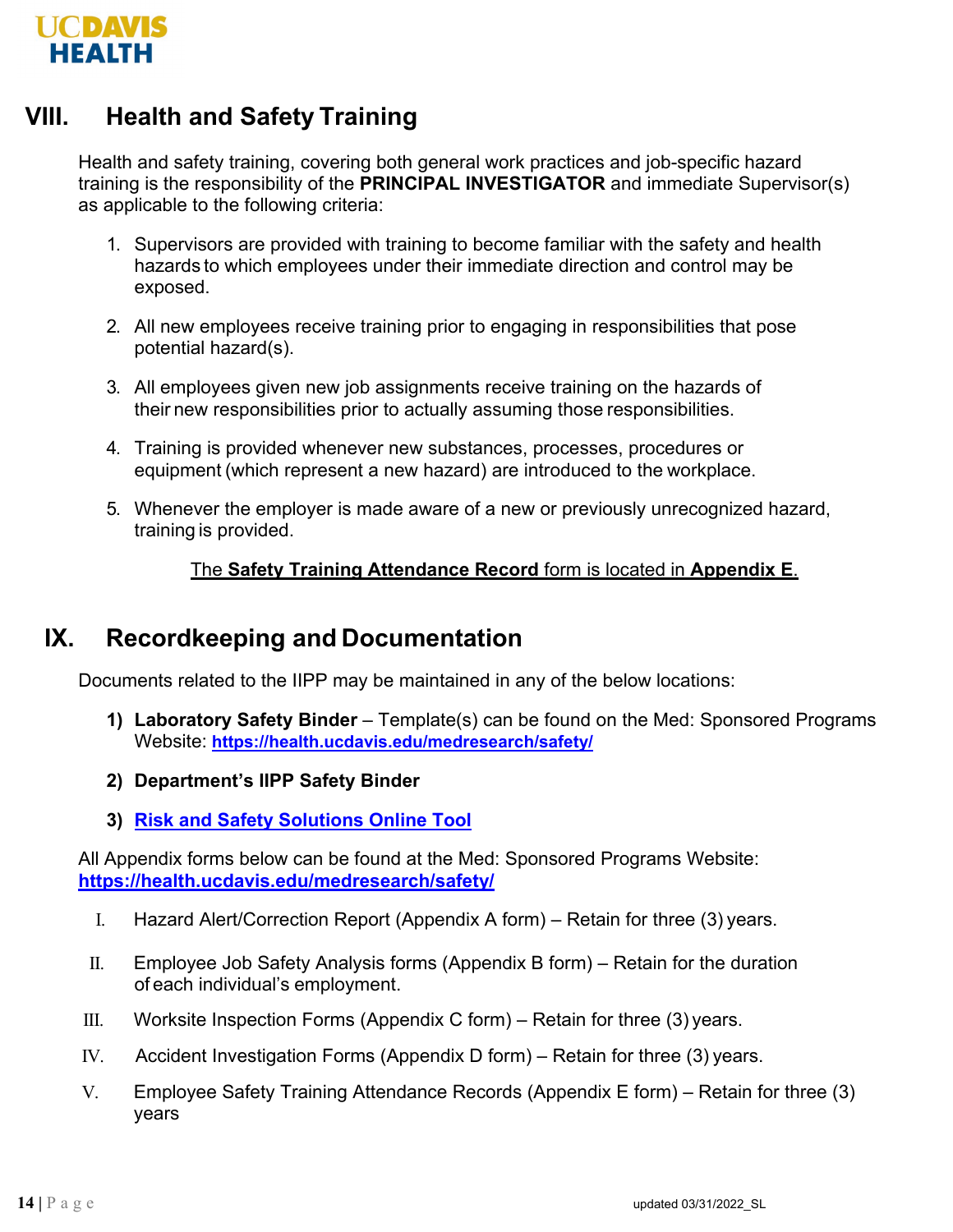

# **VIII. Health and Safety Training**

Health and safety training, covering both general work practices and job-specific hazard training is the responsibility of the **PRINCIPAL INVESTIGATOR** and immediate Supervisor(s) as applicable to the following criteria:

- 1. Supervisors are provided with training to become familiar with the safety and health hazards to which employees under their immediate direction and control may be exposed.
- 2. All new employees receive training prior to engaging in responsibilities that pose potential hazard(s).
- 3. All employees given new job assignments receive training on the hazards of their new responsibilities prior to actually assuming those responsibilities.
- 4. Training is provided whenever new substances, processes, procedures or equipment (which represent a new hazard) are introduced to the workplace.
- 5. Whenever the employer is made aware of a new or previously unrecognized hazard, training is provided.

#### The **Safety Training Attendance Record** form is located in **Appendix E**.

### **IX. Recordkeeping and Documentation**

Documents related to the IIPP may be maintained in any of the below locations:

- **1) Laboratory Safety Binder**  Template(s) can be found on the Med: Sponsored Programs Website: **<https://health.ucdavis.edu/medresearch/safety/>**
- **2) Department's IIPP Safety Binder**
- **3) [Risk and Safety Solutions Online Tool](https://ehs.ucop.edu/)**

All Appendix forms below can be found at the Med: Sponsored Programs Website: **<https://health.ucdavis.edu/medresearch/safety/>**

- I. Hazard Alert/Correction Report (Appendix A form) Retain for three (3) years.
- II. Employee Job Safety Analysis forms (Appendix B form) Retain for the duration of each individual's employment.
- III. Worksite Inspection Forms (Appendix C form) Retain for three  $(3)$  years.
- IV. Accident Investigation Forms (Appendix D form) Retain for three (3) years.
- V. Employee Safety Training Attendance Records (Appendix E form) Retain for three (3) years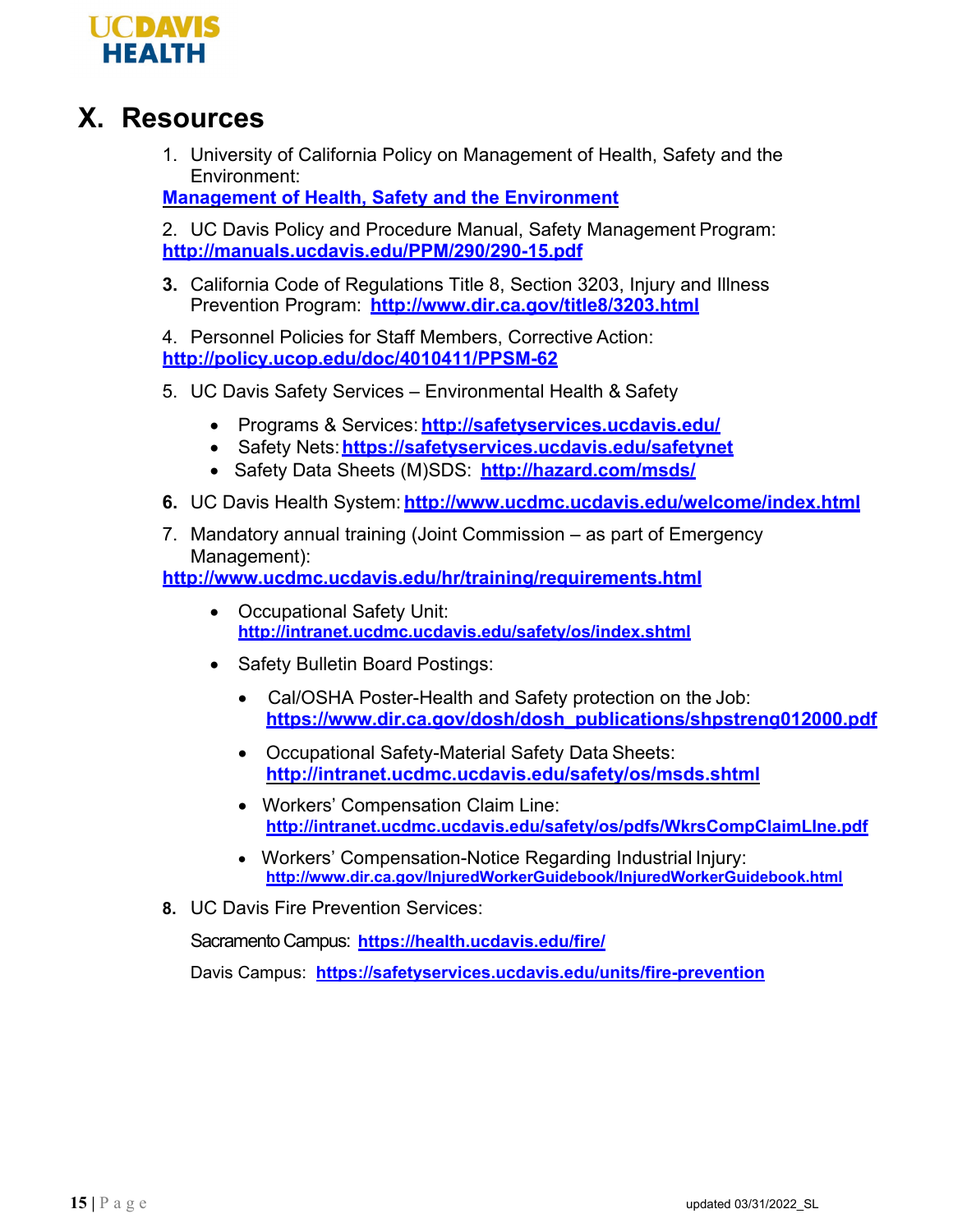

# **X. Resources**

1. University of California Policy on Management of Health, Safety and the Environment:

**[Management of Health, Safety and the Environment](http://policy.ucop.edu/doc/3500506/MgmtHealthSafetyandEnvironment)**

2. UC Davis Policy and Procedure Manual, Safety Management Program: **<http://manuals.ucdavis.edu/PPM/290/290-15.pdf>**

**3.** California Code of Regulations Title 8, Section 3203, Injury and Illness Prevention Program: **<http://www.dir.ca.gov/title8/3203.html>**

4. Personnel Policies for Staff Members, Corrective Action: **<http://policy.ucop.edu/doc/4010411/PPSM-62>**

- 5. UC Davis Safety Services Environmental Health & Safety
	- Programs & Services: **<http://safetyservices.ucdavis.edu/>**
	- Safety Nets:**<https://safetyservices.ucdavis.edu/safetynet>**
	- Safety Data Sheets (M)SDS: **<http://hazard.com/msds/>**
- **6.** UC Davis Health System: **<http://www.ucdmc.ucdavis.edu/welcome/index.html>**
- 7. Mandatory annual training (Joint Commission as part of Emergency Management):

**<http://www.ucdmc.ucdavis.edu/hr/training/requirements.html>**

- Occupational Safety Unit: **<http://intranet.ucdmc.ucdavis.edu/safety/os/index.shtml>**
- Safety Bulletin Board Postings:
	- Cal/OSHA Poster-Health and Safety protection on the Job: **https:[//www.dir.ca.gov/dosh/dosh\\_publications/shpstreng012000.pdf](http://www.dir.ca.gov/dosh/dosh_publications/shpstreng012000.pdf)**
	- Occupational Safety-Material Safety Data Sheets: **<http://intranet.ucdmc.ucdavis.edu/safety/os/msds.shtml>**
	- Workers' Compensation Claim Line: **<http://intranet.ucdmc.ucdavis.edu/safety/os/pdfs/WkrsCompClaimLIne.pdf>**
	- Workers' Compensation-Notice Regarding Industrial Injury: **<http://www.dir.ca.gov/InjuredWorkerGuidebook/InjuredWorkerGuidebook.html>**
- **8.** UC Davis Fire Prevention Services:

Sacramento Campus: **<https://health.ucdavis.edu/fire/>**

Davis Campus: **<https://safetyservices.ucdavis.edu/units/fire-prevention>**